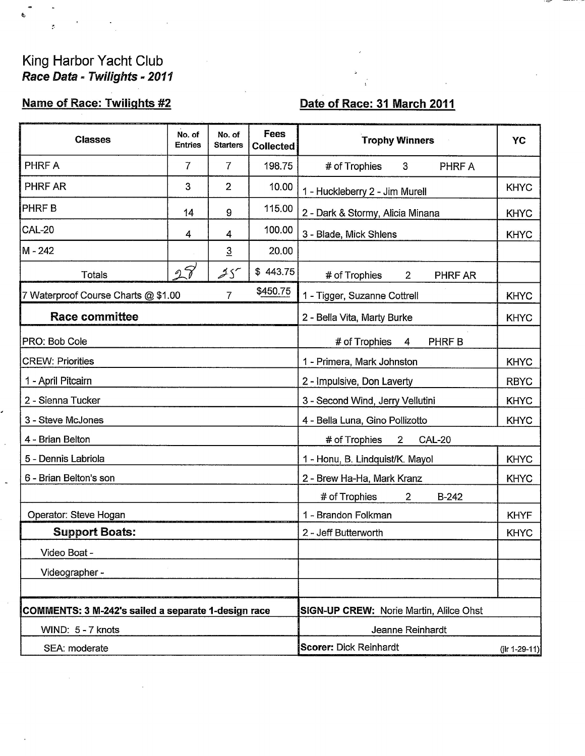## King Harbor Yacht Club<br>Race Data - Twilights - 2011

b,

ä,

## Name of Race: Twilights #2

## Date of Race: 31 March 2011

| <b>Classes</b>                                                  | No. of<br><b>Entries</b> | No. of<br><b>Starters</b> | <b>Fees</b><br><b>Collected</b>     | <b>Trophy Winners</b>                            | YC          |  |
|-----------------------------------------------------------------|--------------------------|---------------------------|-------------------------------------|--------------------------------------------------|-------------|--|
| <b>PHRF A</b>                                                   | 7                        | 7                         | 198.75                              | # of Trophies<br>PHRF A<br>3                     |             |  |
| PHRF AR                                                         | 3                        | $\overline{2}$            | 10.00                               | 1 - Huckleberry 2 - Jim Murell                   | <b>KHYC</b> |  |
| <b>PHRFB</b>                                                    | 14                       | 9                         | 115.00                              | 2 - Dark & Stormy, Alicia Minana                 | <b>KHYC</b> |  |
| <b>CAL-20</b>                                                   | 4                        | 4                         | 100.00                              | 3 - Blade, Mick Shlens                           | <b>KHYC</b> |  |
| M-242                                                           |                          | $\overline{3}$            | 20.00                               |                                                  |             |  |
| <b>Totals</b>                                                   | 27                       | $25^{\circ}$              | \$443.75                            | # of Trophies<br>$\overline{2}$<br>PHRF AR       |             |  |
| \$450.75<br>$\overline{7}$<br>Waterproof Course Charts @ \$1.00 |                          |                           |                                     | 1 - Tigger, Suzanne Cottrell<br><b>KHYC</b>      |             |  |
| <b>Race committee</b>                                           |                          |                           |                                     | 2 - Bella Vita, Marty Burke<br><b>KHYC</b>       |             |  |
| PRO: Bob Cole                                                   |                          |                           | # of Trophies<br>PHRF B<br>4        |                                                  |             |  |
| <b>CREW: Priorities</b>                                         |                          |                           | 1 - Primera, Mark Johnston          | <b>KHYC</b>                                      |             |  |
| 1 - April Pitcairn                                              |                          |                           | 2 - Impulsive, Don Laverty          | <b>RBYC</b>                                      |             |  |
| 2 - Sienna Tucker                                               |                          |                           | 3 - Second Wind, Jerry Vellutini    | <b>KHYC</b>                                      |             |  |
| 3 - Steve McJones                                               |                          |                           |                                     | <b>KHYC</b><br>4 - Bella Luna, Gino Pollizotto   |             |  |
| 4 - Brian Belton                                                |                          |                           |                                     | # of Trophies<br>$\overline{2}$<br><b>CAL-20</b> |             |  |
| 5 - Dennis Labriola                                             |                          |                           |                                     | <b>KHYC</b><br>1 - Honu, B. Lindquist/K. Mayol   |             |  |
| 6 - Brian Belton's son                                          |                          |                           |                                     | 2 - Brew Ha-Ha, Mark Kranz<br><b>KHYC</b>        |             |  |
|                                                                 |                          |                           |                                     | # of Trophies<br><b>B-242</b><br>$\overline{2}$  |             |  |
| Operator: Steve Hogan                                           |                          |                           | 1 - Brandon Folkman<br><b>KHYF</b>  |                                                  |             |  |
| <b>Support Boats:</b>                                           |                          |                           | 2 - Jeff Butterworth<br><b>KHYC</b> |                                                  |             |  |
| Video Boat -                                                    |                          |                           |                                     |                                                  |             |  |
| Videographer -                                                  |                          |                           |                                     |                                                  |             |  |
|                                                                 |                          |                           |                                     |                                                  |             |  |
| COMMENTS: 3 M-242's sailed a separate 1-design race             |                          |                           |                                     | <b>SIGN-UP CREW: Norie Martin, Alilce Ohst</b>   |             |  |
| WIND: 5 - 7 knots                                               |                          |                           |                                     | Jeanne Reinhardt                                 |             |  |
| SEA: moderate                                                   |                          |                           |                                     | <b>Scorer: Dick Reinhardt</b><br>(jlr 1-29-11)   |             |  |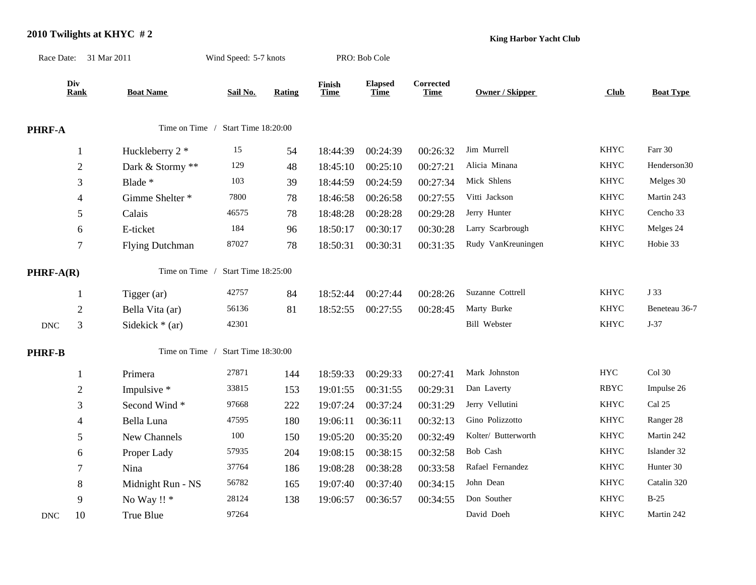## **2010 Twilights at KHYC # 2**

**King Harbor Yacht Club**

|                                                        | Race Date: 31 Mar 2011 |                        | Wind Speed: 5-7 knots              |               | PRO: Bob Cole         |                               |                          |                        |             |                  |
|--------------------------------------------------------|------------------------|------------------------|------------------------------------|---------------|-----------------------|-------------------------------|--------------------------|------------------------|-------------|------------------|
|                                                        | Div<br><b>Rank</b>     | <b>Boat Name</b>       | Sail No.                           | <b>Rating</b> | Finish<br><b>Time</b> | <b>Elapsed</b><br><b>Time</b> | Corrected<br><b>Time</b> | <b>Owner / Skipper</b> | Club        | <b>Boat Type</b> |
| PHRF-A                                                 |                        |                        | Time on Time / Start Time 18:20:00 |               |                       |                               |                          |                        |             |                  |
|                                                        | 1                      | Huckleberry 2 *        | 15                                 | 54            | 18:44:39              | 00:24:39                      | 00:26:32                 | Jim Murrell            | <b>KHYC</b> | Farr 30          |
|                                                        | $\mathfrak{2}$         | Dark & Stormy **       | 129                                | 48            | 18:45:10              | 00:25:10                      | 00:27:21                 | Alicia Minana          | <b>KHYC</b> | Henderson30      |
|                                                        | 3                      | Blade *                | 103                                | 39            | 18:44:59              | 00:24:59                      | 00:27:34                 | Mick Shlens            | <b>KHYC</b> | Melges 30        |
|                                                        | $\overline{4}$         | Gimme Shelter *        | 7800                               | 78            | 18:46:58              | 00:26:58                      | 00:27:55                 | Vitti Jackson          | <b>KHYC</b> | Martin 243       |
|                                                        | 5                      | Calais                 | 46575                              | $78\,$        | 18:48:28              | 00:28:28                      | 00:29:28                 | Jerry Hunter           | <b>KHYC</b> | Cencho 33        |
|                                                        | 6                      | E-ticket               | 184                                | 96            | 18:50:17              | 00:30:17                      | 00:30:28                 | Larry Scarbrough       | <b>KHYC</b> | Melges 24        |
|                                                        | $\tau$                 | <b>Flying Dutchman</b> | 87027                              | 78            | 18:50:31              | 00:30:31                      | 00:31:35                 | Rudy VanKreuningen     | <b>KHYC</b> | Hobie 33         |
| Time on Time /<br>Start Time 18:25:00<br>$PHRF-A(R)$   |                        |                        |                                    |               |                       |                               |                          |                        |             |                  |
|                                                        | 1                      | Tigger (ar)            | 42757                              | 84            | 18:52:44              | 00:27:44                      | 00:28:26                 | Suzanne Cottrell       | <b>KHYC</b> | J 33             |
|                                                        | $\mathbf{2}$           | Bella Vita (ar)        | 56136                              | 81            | 18:52:55              | 00:27:55                      | 00:28:45                 | Marty Burke            | <b>KHYC</b> | Beneteau 36-7    |
| $\operatorname{DNC}$                                   | 3                      | Sidekick $*$ (ar)      | 42301                              |               |                       |                               |                          | <b>Bill Webster</b>    | <b>KHYC</b> | $J-37$           |
| Start Time 18:30:00<br>Time on Time /<br><b>PHRF-B</b> |                        |                        |                                    |               |                       |                               |                          |                        |             |                  |
|                                                        | 1                      | Primera                | 27871                              | 144           | 18:59:33              | 00:29:33                      | 00:27:41                 | Mark Johnston          | ${\rm HYC}$ | $Col$ 30         |
|                                                        | $\mathfrak{2}$         | Impulsive *            | 33815                              | 153           | 19:01:55              | 00:31:55                      | 00:29:31                 | Dan Laverty            | <b>RBYC</b> | Impulse 26       |
|                                                        | 3                      | Second Wind*           | 97668                              | 222           | 19:07:24              | 00:37:24                      | 00:31:29                 | Jerry Vellutini        | <b>KHYC</b> | Cal 25           |
|                                                        | 4                      | Bella Luna             | 47595                              | 180           | 19:06:11              | 00:36:11                      | 00:32:13                 | Gino Polizzotto        | <b>KHYC</b> | Ranger 28        |
|                                                        | 5                      | New Channels           | $100\,$                            | 150           | 19:05:20              | 00:35:20                      | 00:32:49                 | Kolter/ Butterworth    | <b>KHYC</b> | Martin 242       |
|                                                        | 6                      | Proper Lady            | 57935                              | 204           | 19:08:15              | 00:38:15                      | 00:32:58                 | Bob Cash               | <b>KHYC</b> | Islander 32      |
|                                                        | $\tau$                 | Nina                   | 37764                              | 186           | 19:08:28              | 00:38:28                      | 00:33:58                 | Rafael Fernandez       | <b>KHYC</b> | Hunter 30        |
|                                                        | $8\,$                  | Midnight Run - NS      | 56782                              | 165           | 19:07:40              | 00:37:40                      | 00:34:15                 | John Dean              | <b>KHYC</b> | Catalin 320      |
|                                                        | 9                      | No Way !! *            | 28124                              | 138           | 19:06:57              | 00:36:57                      | 00:34:55                 | Don Souther            | <b>KHYC</b> | $B-25$           |
| <b>DNC</b>                                             | 10                     | True Blue              | 97264                              |               |                       |                               |                          | David Doeh             | <b>KHYC</b> | Martin 242       |